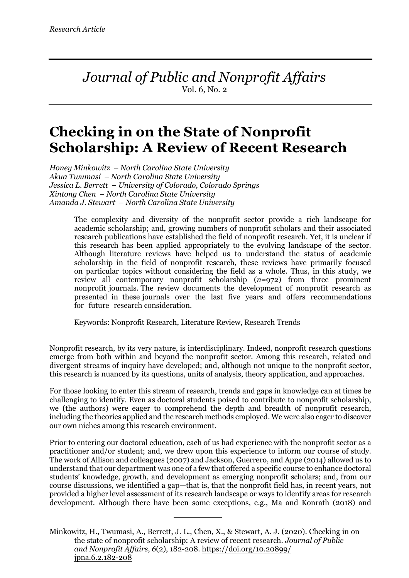*Journal of Public and Nonprofit Affairs* Vol. 6, No. 2

# **Checking in on the State of Nonprofit Scholarship: A Review of Recent Research**

*Honey Minkowitz – North Carolina State University Akua Twumasi – North Carolina State University Jessica L. Berrett – University of Colorado, Colorado Springs Xintong Chen – North Carolina State University Amanda J. Stewart – North Carolina State University*

> The complexity and diversity of the nonprofit sector provide a rich landscape for academic scholarship; and, growing numbers of nonprofit scholars and their associated research publications have established the field of nonprofit research. Yet, it is unclear if this research has been applied appropriately to the evolving landscape of the sector. Although literature reviews have helped us to understand the status of academic scholarship in the field of nonprofit research, these reviews have primarily focused on particular topics without considering the field as a whole. Thus, in this study, we review all contemporary nonprofit scholarship (*n*=972) from three prominent nonprofit journals. The review documents the development of nonprofit research as presented in these journals over the last five years and offers recommendations for future research consideration.

Keywords: Nonprofit Research, Literature Review, Research Trends

Nonprofit research, by its very nature, is interdisciplinary. Indeed, nonprofit research questions emerge from both within and beyond the nonprofit sector. Among this research, related and divergent streams of inquiry have developed; and, although not unique to the nonprofit sector, this research is nuanced by its questions, units of analysis, theory application, and approaches.

For those looking to enter this stream of research, trends and gaps in knowledge can at times be challenging to identify. Even as doctoral students poised to contribute to nonprofit scholarship, we (the authors) were eager to comprehend the depth and breadth of nonprofit research, including the theories applied and the research methods employed. We were also eager to discover our own niches among this research environment.

Prior to entering our doctoral education, each of us had experience with the nonprofit sector as a practitioner and/or student; and, we drew upon this experience to inform our course of study. The work of Allison and colleagues (2007) and Jackson, Guerrero, and Appe (2014) allowed us to understand that our department was one of a few that offered a specific course to enhance doctoral students' knowledge, growth, and development as emerging nonprofit scholars; and, from our course discussions, we identified a gap—that is, that the nonprofit field has, in recent years, not provided a higher level assessment of its research landscape or ways to identify areas for research development. Although there have been some exceptions, e.g., Ma and Konrath (2018) and

Minkowitz, H., Twumasi, A., Berrett, J. L., Chen, X., & Stewart, A. J. (2020). Checking in on the state of nonprofit scholarship: A review of recent research. *Journal of Public and Nonprofit Affairs*, *6*(2), 182-208. https://doi.org/10.20899/ jpna.6.2.182-208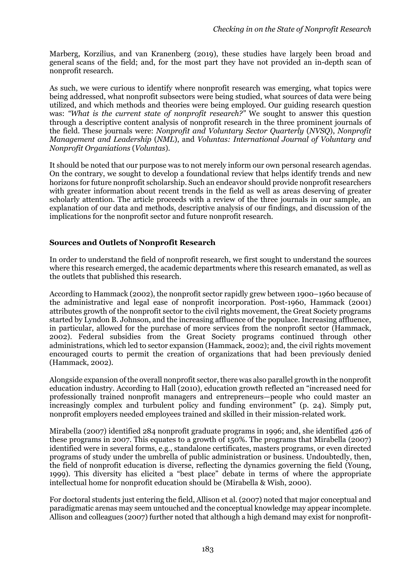Marberg, Korzilius, and van Kranenberg (2019), these studies have largely been broad and general scans of the field; and, for the most part they have not provided an in-depth scan of nonprofit research.

As such, we were curious to identify where nonprofit research was emerging, what topics were being addressed, what nonprofit subsectors were being studied, what sources of data were being utilized, and which methods and theories were being employed. Our guiding research question was: *"What is the current state of nonprofit research?"* We sought to answer this question through a descriptive content analysis of nonprofit research in the three prominent journals of the field. These journals were: *Nonprofit and Voluntary Sector Quarterly* (*NVSQ*), *Nonprofit Management and Leadership* (*NML*), and *Voluntas: International Journal of Voluntary and Nonprofit Organiations* (*Voluntas*).

It should be noted that our purpose was to not merely inform our own personal research agendas. On the contrary, we sought to develop a foundational review that helps identify trends and new horizons for future nonprofit scholarship. Such an endeavor should provide nonprofit researchers with greater information about recent trends in the field as well as areas deserving of greater scholarly attention. The article proceeds with a review of the three journals in our sample, an explanation of our data and methods, descriptive analysis of our findings, and discussion of the implications for the nonprofit sector and future nonprofit research.

#### **Sources and Outlets of Nonprofit Research**

In order to understand the field of nonprofit research, we first sought to understand the sources where this research emerged, the academic departments where this research emanated, as well as the outlets that published this research.

According to Hammack (2002), the nonprofit sector rapidly grew between 1900–1960 because of the administrative and legal ease of nonprofit incorporation. Post-1960, Hammack (2001) attributes growth of the nonprofit sector to the civil rights movement, the Great Society programs started by Lyndon B. Johnson, and the increasing affluence of the populace. Increasing affluence, in particular, allowed for the purchase of more services from the nonprofit sector (Hammack, 2002). Federal subsidies from the Great Society programs continued through other administrations, which led to sector expansion (Hammack, 2002); and, the civil rights movement encouraged courts to permit the creation of organizations that had been previously denied (Hammack, 2002).

Alongside expansion of the overall nonprofit sector, there was also parallel growth in the nonprofit education industry. According to Hall (2010), education growth reflected an "increased need for professionally trained nonprofit managers and entrepreneurs—people who could master an increasingly complex and turbulent policy and funding environment" (p. 24). Simply put, nonprofit employers needed employees trained and skilled in their mission-related work.

Mirabella (2007) identified 284 nonprofit graduate programs in 1996; and, she identified 426 of these programs in 2007. This equates to a growth of 150%. The programs that Mirabella (2007) identified were in several forms, e.g., standalone certificates, masters programs, or even directed programs of study under the umbrella of public administration or business. Undoubtedly, then, the field of nonprofit education is diverse, reflecting the dynamics governing the field (Young, 1999). This diversity has elicited a "best place" debate in terms of where the appropriate intellectual home for nonprofit education should be (Mirabella & Wish, 2000).

For doctoral students just entering the field, Allison et al. (2007) noted that major conceptual and paradigmatic arenas may seem untouched and the conceptual knowledge may appear incomplete. Allison and colleagues (2007) further noted that although a high demand may exist for nonprofit-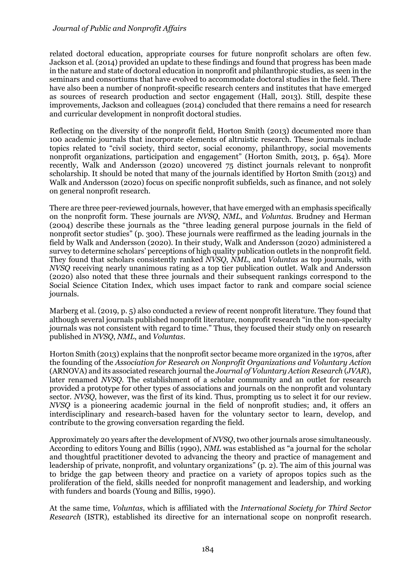related doctoral education, appropriate courses for future nonprofit scholars are often few. Jackson et al. (2014) provided an update to these findings and found that progress has been made in the nature and state of doctoral education in nonprofit and philanthropic studies, as seen in the seminars and consortiums that have evolved to accommodate doctoral studies in the field. There have also been a number of nonprofit-specific research centers and institutes that have emerged as sources of research production and sector engagement (Hall, 2013). Still, despite these improvements, Jackson and colleagues (2014) concluded that there remains a need for research and curricular development in nonprofit doctoral studies.

Reflecting on the diversity of the nonprofit field, Horton Smith (2013) documented more than 100 academic journals that incorporate elements of altruistic research. These journals include topics related to "civil society, third sector, social economy, philanthropy, social movements nonprofit organizations, participation and engagement" (Horton Smith, 2013, p. 654). More recently, Walk and Andersson (2020) uncovered 75 distinct journals relevant to nonprofit scholarship. It should be noted that many of the journals identified by Horton Smith (2013) and Walk and Andersson (2020) focus on specific nonprofit subfields, such as finance, and not solely on general nonprofit research.

There are three peer-reviewed journals, however, that have emerged with an emphasis specifically on the nonprofit form. These journals are *NVSQ*, *NML*, and *Voluntas*. Brudney and Herman (2004) describe these journals as the "three leading general purpose journals in the field of nonprofit sector studies" (p. 300). These journals were reaffirmed as the leading journals in the field by Walk and Andersson (2020). In their study, Walk and Andersson (2020) administered a survey to determine scholars' perceptions of high quality publication outlets in the nonprofit field. They found that scholars consistently ranked *NVSQ*, *NML*, and *Voluntas* as top journals, with *NVSQ* receiving nearly unanimous rating as a top tier publication outlet. Walk and Andersson (2020) also noted that these three journals and their subsequent rankings correspond to the Social Science Citation Index, which uses impact factor to rank and compare social science journals.

Marberg et al. (2019, p. 5) also conducted a review of recent nonprofit literature. They found that although several journals published nonprofit literature, nonprofit research "in the non-specialty journals was not consistent with regard to time." Thus, they focused their study only on research published in *NVSQ*, *NML*, and *Voluntas*.

Horton Smith (2013) explains that the nonprofit sector became more organized in the 1970s, after the founding of the *Association for Research on Nonprofit Organizations and Voluntary Action* (ARNOVA) and its associated research journal the *Journal of Voluntary Action Research* (*JVAR*), later renamed *NVSQ*. The establishment of a scholar community and an outlet for research provided a prototype for other types of associations and journals on the nonprofit and voluntary sector. *NVSQ*, however, was the first of its kind. Thus, prompting us to select it for our review. *NVSQ* is a pioneering academic journal in the field of nonprofit studies; and, it offers an interdisciplinary and research-based haven for the voluntary sector to learn, develop, and contribute to the growing conversation regarding the field.

Approximately 20 years after the development of *NVSQ*, two other journals arose simultaneously. According to editors Young and Billis (1990), *NML* was established as "a journal for the scholar and thoughtful practitioner devoted to advancing the theory and practice of management and leadership of private, nonprofit, and voluntary organizations" (p. 2). The aim of this journal was to bridge the gap between theory and practice on a variety of apropos topics such as the proliferation of the field, skills needed for nonprofit management and leadership, and working with funders and boards (Young and Billis, 1990).

At the same time, *Voluntas*, which is affiliated with the *International Society for Third Sector Research* (ISTR), established its directive for an international scope on nonprofit research.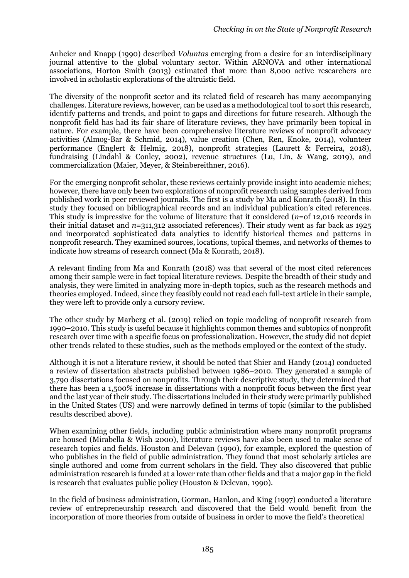Anheier and Knapp (1990) described *Voluntas* emerging from a desire for an interdisciplinary journal attentive to the global voluntary sector. Within ARNOVA and other international associations, Horton Smith (2013) estimated that more than 8,000 active researchers are involved in scholastic explorations of the altruistic field.

The diversity of the nonprofit sector and its related field of research has many accompanying challenges. Literature reviews, however, can be used as a methodological tool to sort this research, identify patterns and trends, and point to gaps and directions for future research. Although the nonprofit field has had its fair share of literature reviews, they have primarily been topical in nature. For example, there have been comprehensive literature reviews of nonprofit advocacy activities (Almog-Bar & Schmid, 2014), value creation (Chen, Ren, Knoke, 2014), volunteer performance (Englert & Helmig, 2018), nonprofit strategies (Laurett & Ferreira, 2018), fundraising (Lindahl & Conley, 2002), revenue structures (Lu, Lin, & Wang, 2019), and commercialization (Maier, Meyer, & Steinbereithner, 2016).

For the emerging nonprofit scholar, these reviews certainly provide insight into academic niches; however, there have only been two explorations of nonprofit research using samples derived from published work in peer reviewed journals. The first is a study by Ma and Konrath (2018). In this study they focused on bibliographical records and an individual publication's cited references. This study is impressive for the volume of literature that it considered (*n*=of 12,016 records in their initial dataset and  $n=311,312$  associated references). Their study went as far back as 1925 and incorporated sophisticated data analytics to identify historical themes and patterns in nonprofit research. They examined sources, locations, topical themes, and networks of themes to indicate how streams of research connect (Ma & Konrath, 2018).

A relevant finding from Ma and Konrath (2018) was that several of the most cited references among their sample were in fact topical literature reviews. Despite the breadth of their study and analysis, they were limited in analyzing more in-depth topics, such as the research methods and theories employed. Indeed, since they feasibly could not read each full-text article in their sample, they were left to provide only a cursory review.

The other study by Marberg et al. (2019) relied on topic modeling of nonprofit research from 1990–2010. This study is useful because it highlights common themes and subtopics of nonprofit research over time with a specific focus on professionalization. However, the study did not depict other trends related to these studies, such as the methods employed or the context of the study.

Although it is not a literature review, it should be noted that Shier and Handy (2014) conducted a review of dissertation abstracts published between 1986–2010. They generated a sample of 3,790 dissertations focused on nonprofits. Through their descriptive study, they determined that there has been a 1,500% increase in dissertations with a nonprofit focus between the first year and the last year of their study. The dissertations included in their study were primarily published in the United States (US) and were narrowly defined in terms of topic (similar to the published results described above).

When examining other fields, including public administration where many nonprofit programs are housed (Mirabella & Wish 2000), literature reviews have also been used to make sense of research topics and fields. Houston and Delevan (1990), for example, explored the question of who publishes in the field of public administration. They found that most scholarly articles are single authored and come from current scholars in the field. They also discovered that public administration research is funded at a lower rate than other fields and that a major gap in the field is research that evaluates public policy (Houston & Delevan, 1990).

In the field of business administration, Gorman, Hanlon, and King (1997) conducted a literature review of entrepreneurship research and discovered that the field would benefit from the incorporation of more theories from outside of business in order to move the field's theoretical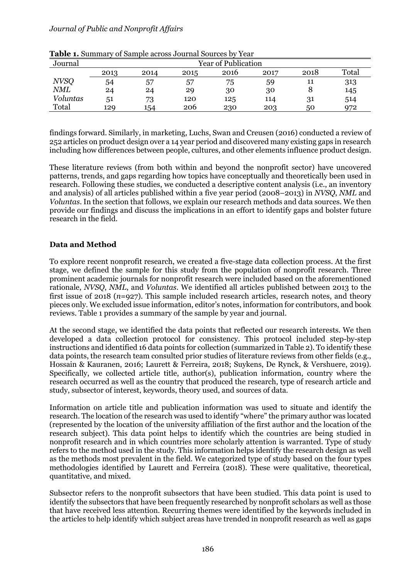| Journal     |      | <b>Year of Publication</b> |      |      |      |      |       |  |
|-------------|------|----------------------------|------|------|------|------|-------|--|
|             | 2013 | 2014                       | 2015 | 2016 | 2017 | 2018 | Total |  |
| <b>NVSQ</b> | 54   | 57                         | 57   | 75   | 59   | 11   | 313   |  |
| <b>NML</b>  | 24   | 24                         | 29   | 30   | 30   |      | 145   |  |
| Voluntas    | 51   | 73                         | 120  | 125  | 114  | 31   | 514   |  |
| Total       | 129  | 154                        | 206  | 230  | 203  | 50   | 972   |  |

**Table 1.** Summary of Sample across Journal Sources by Year

findings forward. Similarly, in marketing, Luchs, Swan and Creusen (2016) conducted a review of 252 articles on product design over a 14 year period and discovered many existing gaps in research including how differences between people, cultures, and other elements influence product design.

These literature reviews (from both within and beyond the nonprofit sector) have uncovered patterns, trends, and gaps regarding how topics have conceptually and theoretically been used in research. Following these studies, we conducted a descriptive content analysis (i.e., an inventory and analysis) of all articles published within a five year period (2008–2013) in *NVSQ*, *NML* and *Voluntas*. In the section that follows, we explain our research methods and data sources. We then provide our findings and discuss the implications in an effort to identify gaps and bolster future research in the field.

#### **Data and Method**

To explore recent nonprofit research, we created a five-stage data collection process. At the first stage, we defined the sample for this study from the population of nonprofit research. Three prominent academic journals for nonprofit research were included based on the aforementioned rationale, *NVSQ*, *NML*, and *Voluntas*. We identified all articles published between 2013 to the first issue of 2018 (*n*=927). This sample included research articles, research notes, and theory pieces only. We excluded issue information, editor's notes, information for contributors, and book reviews. Table 1 provides a summary of the sample by year and journal.

At the second stage, we identified the data points that reflected our research interests. We then developed a data collection protocol for consistency. This protocol included step-by-step instructions and identified 16 data points for collection (summarized in Table 2). To identify these data points, the research team consulted prior studies of literature reviews from other fields (e.g., Hossain & Kauranen, 2016; Laurett & Ferreira, 2018; Suykens, De Rynck, & Vershuere, 2019). Specifically, we collected article title, author(s), publication information, country where the research occurred as well as the country that produced the research, type of research article and study, subsector of interest, keywords, theory used, and sources of data.

Information on article title and publication information was used to situate and identify the research. The location of the research was used to identify "where" the primary author was located (represented by the location of the university affiliation of the first author and the location of the research subject). This data point helps to identify which the countries are being studied in nonprofit research and in which countries more scholarly attention is warranted. Type of study refers to the method used in the study. This information helps identify the research design as well as the methods most prevalent in the field. We categorized type of study based on the four types methodologies identified by Laurett and Ferreira (2018). These were qualitative, theoretical, quantitative, and mixed.

Subsector refers to the nonprofit subsectors that have been studied. This data point is used to identify the subsectors that have been frequently researched by nonprofit scholars as well as those that have received less attention. Recurring themes were identified by the keywords included in the articles to help identify which subject areas have trended in nonprofit research as well as gaps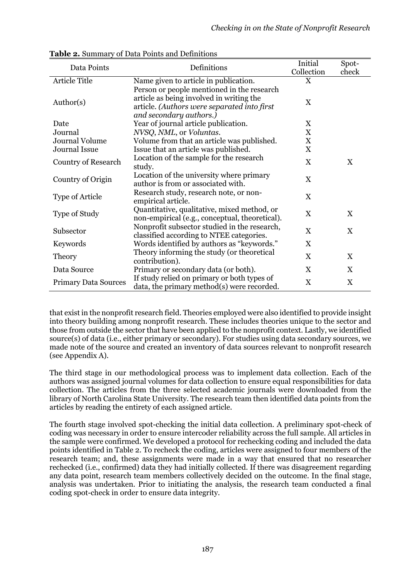| Data Points                 | Definitions                                                                                                                                                      | Initial                   | Spot-                     |
|-----------------------------|------------------------------------------------------------------------------------------------------------------------------------------------------------------|---------------------------|---------------------------|
|                             |                                                                                                                                                                  | Collection                | check                     |
| Article Title               | Name given to article in publication.                                                                                                                            | X                         |                           |
| Author(s)                   | Person or people mentioned in the research<br>article as being involved in writing the<br>article. (Authors were separated into first<br>and secondary authors.) | $\boldsymbol{\mathrm{X}}$ |                           |
| Date                        | Year of journal article publication.                                                                                                                             | X                         |                           |
| Journal                     | NVSQ, NML, or Voluntas.                                                                                                                                          | $\boldsymbol{\mathrm{X}}$ |                           |
| <b>Journal Volume</b>       | Volume from that an article was published.                                                                                                                       | $\boldsymbol{\mathrm{X}}$ |                           |
| Journal Issue               | Issue that an article was published.                                                                                                                             | $\boldsymbol{\mathrm{X}}$ |                           |
| <b>Country of Research</b>  | Location of the sample for the research<br>study.                                                                                                                | X                         | X                         |
| Country of Origin           | Location of the university where primary<br>author is from or associated with.                                                                                   | X                         |                           |
| Type of Article             | Research study, research note, or non-<br>empirical article.                                                                                                     | X                         |                           |
| Type of Study               | Quantitative, qualitative, mixed method, or<br>non-empirical (e.g., conceptual, theoretical).                                                                    | $\boldsymbol{\mathrm{X}}$ | X                         |
| Subsector                   | Nonprofit subsector studied in the research,<br>classified according to NTEE categories.                                                                         | X                         | $\mathbf X$               |
| Keywords                    | Words identified by authors as "keywords."                                                                                                                       | $\boldsymbol{\mathrm{X}}$ |                           |
| Theory                      | Theory informing the study (or theoretical<br>contribution).                                                                                                     | X                         | $\mathbf X$               |
| Data Source                 | Primary or secondary data (or both).                                                                                                                             | X                         | X                         |
| <b>Primary Data Sources</b> | If study relied on primary or both types of<br>data, the primary method(s) were recorded.                                                                        | X                         | $\boldsymbol{\mathrm{X}}$ |

**Table 2.** Summary of Data Points and Definitions

that exist in the nonprofit research field. Theories employed were also identified to provide insight into theory building among nonprofit research. These includes theories unique to the sector and those from outside the sector that have been applied to the nonprofit context. Lastly, we identified source(s) of data (i.e., either primary or secondary). For studies using data secondary sources, we made note of the source and created an inventory of data sources relevant to nonprofit research (see Appendix A).

The third stage in our methodological process was to implement data collection. Each of the authors was assigned journal volumes for data collection to ensure equal responsibilities for data collection. The articles from the three selected academic journals were downloaded from the library of North Carolina State University. The research team then identified data points from the articles by reading the entirety of each assigned article.

The fourth stage involved spot-checking the initial data collection. A preliminary spot-check of coding was necessary in order to ensure intercoder reliability across the full sample. All articles in the sample were confirmed. We developed a protocol for rechecking coding and included the data points identified in Table 2. To recheck the coding, articles were assigned to four members of the research team; and, these assignments were made in a way that ensured that no researcher rechecked (i.e., confirmed) data they had initially collected. If there was disagreement regarding any data point, research team members collectively decided on the outcome. In the final stage, analysis was undertaken. Prior to initiating the analysis, the research team conducted a final coding spot-check in order to ensure data integrity.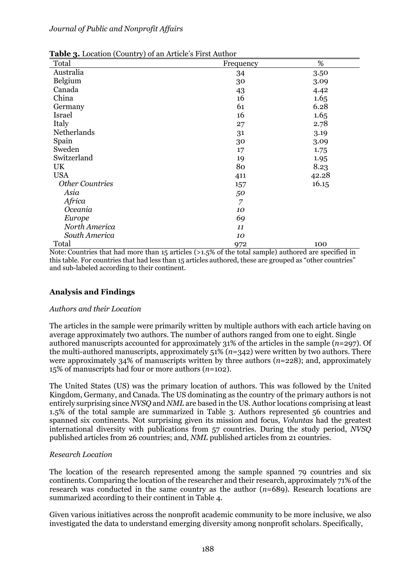| <b>Table 3.</b> Location (Country) of an Article s First Author |                |       |  |  |  |  |  |
|-----------------------------------------------------------------|----------------|-------|--|--|--|--|--|
| Total                                                           | Frequency      | %     |  |  |  |  |  |
| Australia                                                       | 34             | 3.50  |  |  |  |  |  |
| Belgium                                                         | 30             | 3.09  |  |  |  |  |  |
| Canada                                                          | 43             | 4.42  |  |  |  |  |  |
| China                                                           | 16             | 1.65  |  |  |  |  |  |
| Germany                                                         | 61             | 6.28  |  |  |  |  |  |
| <b>Israel</b>                                                   | 16             | 1.65  |  |  |  |  |  |
| Italy                                                           | 27             | 2.78  |  |  |  |  |  |
| Netherlands                                                     | 31             | 3.19  |  |  |  |  |  |
| Spain                                                           | 30             | 3.09  |  |  |  |  |  |
| Sweden                                                          | 17             | 1.75  |  |  |  |  |  |
| Switzerland                                                     | 19             | 1.95  |  |  |  |  |  |
| UK                                                              | 80             | 8.23  |  |  |  |  |  |
| <b>USA</b>                                                      | 411            | 42.28 |  |  |  |  |  |
| <b>Other Countries</b>                                          | 157            | 16.15 |  |  |  |  |  |
| Asia                                                            | 50             |       |  |  |  |  |  |
| Africa                                                          | $\overline{7}$ |       |  |  |  |  |  |
| Oceania                                                         | 10             |       |  |  |  |  |  |
| Europe                                                          | 69             |       |  |  |  |  |  |
| North America                                                   | 11             |       |  |  |  |  |  |
| South America                                                   | 10             |       |  |  |  |  |  |
| Total                                                           | 972            | 100   |  |  |  |  |  |

**Table 3.** Location (Country) of an Article's First Author

Note: Countries that had more than 15 articles (>1.5% of the total sample) authored are specified in this table. For countries that had less than 15 articles authored, these are grouped as "other countries" and sub-labeled according to their continent.

#### **Analysis and Findings**

#### *Authors and their Location*

The articles in the sample were primarily written by multiple authors with each article having on average approximately two authors. The number of authors ranged from one to eight. Single authored manuscripts accounted for approximately 31% of the articles in the sample (*n*=297). Of the multi-authored manuscripts, approximately 51% (*n*=342) were written by two authors. There were approximately 34% of manuscripts written by three authors (*n*=228); and, approximately 15% of manuscripts had four or more authors (*n*=102).

The United States (US) was the primary location of authors. This was followed by the United Kingdom, Germany, and Canada. The US dominating as the country of the primary authors is not entirely surprising since *NVSQ* and *NML* are based in the US. Author locations comprising at least 1.5% of the total sample are summarized in Table 3. Authors represented 56 countries and spanned six continents. Not surprising given its mission and focus, *Voluntas* had the greatest international diversity with publications from 57 countries. During the study period, *NVSQ* published articles from 26 countries; and, *NML* published articles from 21 countries.

#### *Research Location*

The location of the research represented among the sample spanned 79 countries and six continents. Comparing the location of the researcher and their research, approximately 71% of the research was conducted in the same country as the author (*n*=689). Research locations are summarized according to their continent in Table 4.

Given various initiatives across the nonprofit academic community to be more inclusive, we also investigated the data to understand emerging diversity among nonprofit scholars. Specifically,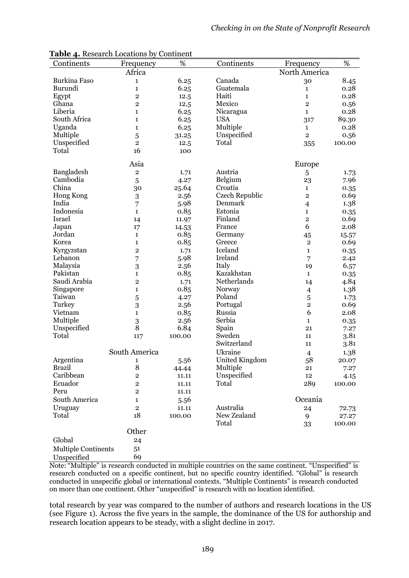| Continents                 | Frequency               | %      | Continents     | Frequency               | %      |
|----------------------------|-------------------------|--------|----------------|-------------------------|--------|
|                            | Africa                  |        |                | North America           |        |
| <b>Burkina Faso</b>        | 1                       | 6.25   | Canada         | 30                      | 8.45   |
| Burundi                    | $\mathbf{1}$            | 6.25   | Guatemala      | $\mathbf{1}$            | 0.28   |
| Egypt                      | $\overline{2}$          | 12.5   | Haiti          | 1                       | 0.28   |
|                            |                         |        |                |                         |        |
| Ghana                      | $\overline{2}$          | 12.5   | Mexico         | $\overline{2}$          | 0.56   |
| Liberia                    | 1                       | 6.25   | Nicaragua      | $\mathbf{1}$            | 0.28   |
| South Africa               | 1                       | 6.25   | <b>USA</b>     | 317                     | 89.30  |
| Uganda                     | 1                       | 6.25   | Multiple       | $\mathbf 1$             | 0.28   |
| Multiple                   | 5                       | 31.25  | Unspecified    | $\overline{2}$          | 0.56   |
| Unspecified                | $\overline{2}$          | 12.5   | Total          | 355                     | 100.00 |
| Total                      | 16                      | 100    |                |                         |        |
|                            |                         |        |                |                         |        |
|                            | Asia                    |        |                | Europe                  |        |
| Bangladesh                 | $\overline{\mathbf{c}}$ | 1.71   | Austria        | 5                       | 1.73   |
| Cambodia                   | 5                       | 4.27   | Belgium        | 23                      | 7.96   |
| China                      | 30                      | 25.64  | Croatia        | $\mathbf{1}$            | 0.35   |
| Hong Kong                  | 3                       | 2.56   | Czech Republic | $\overline{\mathbf{2}}$ | 0.69   |
| India                      |                         |        | Denmark        |                         |        |
|                            | 7                       | 5.98   |                | $\overline{4}$          | 1.38   |
| Indonesia                  | $\mathbf{1}$            | 0.85   | Estonia        | $\mathbf{1}$            | 0.35   |
| Israel                     | 14                      | 11.97  | Finland        | $\overline{2}$          | 0.69   |
| Japan                      | 17                      | 14.53  | France         | 6                       | 2.08   |
| Jordan                     | $\mathbf{1}$            | 0.85   | Germany        | 45                      | 15.57  |
| Korea                      | $\mathbf 1$             | 0.85   | Greece         | $\mathbf{2}$            | 0.69   |
| Kyrgyzstan                 | $\overline{2}$          | 1.71   | Iceland        | $\mathbf{1}$            | 0.35   |
| Lebanon                    | 7                       | 5.98   | Ireland        | 7                       | 2.42   |
|                            |                         |        |                |                         |        |
| Malaysia                   | 3                       | 2.56   | Italy          | 19                      | 6.57   |
| Pakistan                   | $\mathbf{1}$            | 0.85   | Kazakhstan     | $\mathbf{1}$            | 0.35   |
| Saudi Arabia               | $\overline{2}$          | 1.71   | Netherlands    | 14                      | 4.84   |
| Singapore                  | 1                       | 0.85   | Norway         | $\overline{\mathbf{4}}$ | 1.38   |
| Taiwan                     | 5                       | 4.27   | Poland         | 5                       | 1.73   |
| Turkey                     | 3                       | 2.56   | Portugal       | $\overline{\mathbf{c}}$ | 0.69   |
| Vietnam                    | $\mathbf{1}$            | 0.85   | Russia         | 6                       | 2.08   |
| Multiple                   | 3                       | 2.56   | Serbia         | $\mathbf{1}$            | 0.35   |
| Unspecified                | 8                       | 6.84   | Spain          | 21                      | 7.27   |
| Total                      | 117                     | 100.00 | Sweden         | 11                      | 3.81   |
|                            |                         |        | Switzerland    |                         |        |
|                            |                         |        |                | 11                      | 3.81   |
|                            | South America           |        | Ukraine        | $\overline{4}$          | 1.38   |
| Argentina                  | 1                       | 5.56   | United Kingdom | 58                      | 20.07  |
| <b>Brazil</b>              | 8                       | 44.44  | Multiple       | 21                      | 7.27   |
| Caribbean                  | $\mathbf 2$             | 11.11  | Unspecified    | 12                      | 4.15   |
| Ecuador                    | $\overline{\mathbf{c}}$ | 11.11  | Total          | 289                     | 100.00 |
| Peru                       | $\mathbf 2$             | 11.11  |                |                         |        |
| South America              | 1                       | 5.56   |                | Oceania                 |        |
|                            |                         |        | Australia      |                         |        |
| Uruguay                    | $\mathbf 2$             | 11.11  |                | 24                      | 72.73  |
| Total                      | 18                      | 100.00 | New Zealand    | 9                       | 27.27  |
|                            |                         |        | Total          | 33                      | 100.00 |
|                            | Other                   |        |                |                         |        |
| Global                     | 24                      |        |                |                         |        |
| <b>Multiple Continents</b> | 51                      |        |                |                         |        |
| Unspecified                | 69                      |        |                |                         |        |
|                            |                         |        |                |                         |        |

**Table 4.** Research Locations by Continent

Note: "Multiple" is research conducted in multiple countries on the same continent. "Unspecified" is research conducted on a specific continent, but no specific country identified. "Global" is research conducted in unspecific global or international contexts. "Multiple Continents" is research conducted on more than one continent. Other "unspecified" is research with no location identified.

total research by year was compared to the number of authors and research locations in the US (see Figure 1). Across the five years in the sample, the dominance of the US for authorship and research location appears to be steady, with a slight decline in 2017.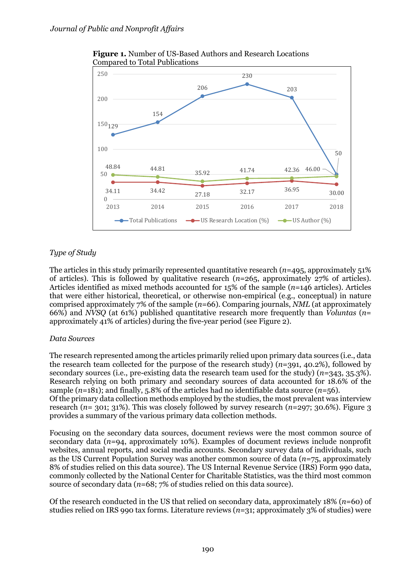

**Figure 1.** Number of US-Based Authors and Research Locations Compared to Total Publications

## *Type of Study*

The articles in this study primarily represented quantitative research (*n*=495, approximately 51% of articles). This is followed by qualitative research (*n*=265, approximately 27% of articles). Articles identified as mixed methods accounted for 15% of the sample (*n*=146 articles). Articles that were either historical, theoretical, or otherwise non-empirical (e.g., conceptual) in nature comprised approximately 7% of the sample (*n*=66). Comparing journals, *NML* (at approximately 66%) and *NVSQ* (at 61%) published quantitative research more frequently than *Voluntas* (*n*= approximately 41% of articles) during the five-year period (see Figure 2).

#### *Data Sources*

The research represented among the articles primarily relied upon primary data sources (i.e., data the research team collected for the purpose of the research study) (*n*=391, 40.2%), followed by secondary sources (i.e., pre-existing data the research team used for the study) (*n*=343, 35.3%). Research relying on both primary and secondary sources of data accounted for 18.6% of the sample  $(n=181)$ ; and finally, 5.8% of the articles had no identifiable data source  $(n=56)$ . Of the primary data collection methods employed by the studies, the most prevalent was interview research (*n*= 301; 31%). This was closely followed by survey research (*n*=297; 30.6%). Figure 3 provides a summary of the various primary data collection methods.

Focusing on the secondary data sources, document reviews were the most common source of secondary data (*n*=94, approximately 10%). Examples of document reviews include nonprofit websites, annual reports, and social media accounts. Secondary survey data of individuals, such as the US Current Population Survey was another common source of data (*n*=75, approximately 8% of studies relied on this data source). The US Internal Revenue Service (IRS) Form 990 data, commonly collected by the National Center for Charitable Statistics, was the third most common source of secondary data (*n*=68; 7% of studies relied on this data source).

Of the research conducted in the US that relied on secondary data, approximately 18% (*n*=60) of studies relied on IRS 990 tax forms. Literature reviews (*n*=31; approximately 3% of studies) were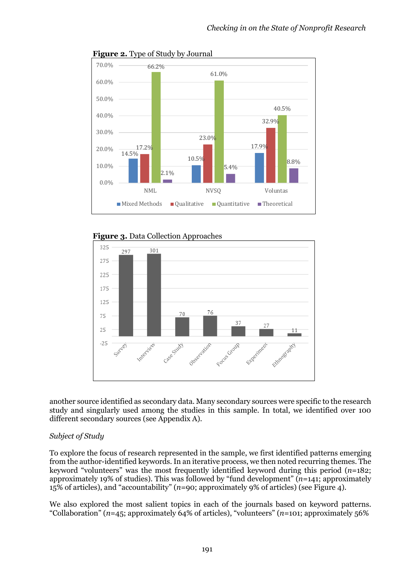

**Figure 2.** Type of Study by Journal





another source identified as secondary data. Many secondary sources were specific to the research study and singularly used among the studies in this sample. In total, we identified over 100 different secondary sources (see Appendix A).

#### *Subject of Study*

To explore the focus of research represented in the sample, we first identified patterns emerging from the author-identified keywords. In an iterative process, we then noted recurring themes. The keyword "volunteers" was the most frequently identified keyword during this period (*n*=182; approximately 19% of studies). This was followed by "fund development" (*n*=141; approximately 15% of articles), and "accountability" (*n*=90; approximately 9% of articles) (see Figure 4).

We also explored the most salient topics in each of the journals based on keyword patterns. "Collaboration" (*n*=45; approximately 64% of articles), "volunteers" (*n*=101; approximately 56%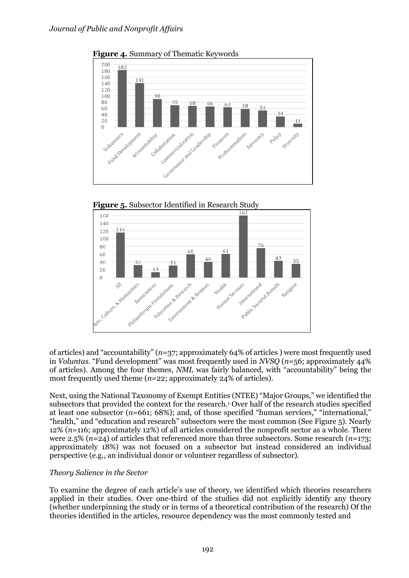

**Figure 4.** Summary of Thematic Keywords





of articles) and "accountability" (*n*=37; approximately 64% of articles ) were most frequently used in *Voluntas*. "Fund development" was most frequently used in *NVSQ* (*n*=56; approximately 44% of articles). Among the four themes, *NML* was fairly balanced, with "accountability" being the most frequently used theme (*n*=22; approximately 24% of articles).

Next, using the National Taxonomy of Exempt Entities (NTEE) "Major Groups," we identified the subsectors that provided the context for the research.<sup>1</sup> Over half of the research studies specified at least one subsector (*n*=661; 68%); and, of those specified "human services," "international," "health," and "education and research" subsectors were the most common (See Figure 5). Nearly 12% (*n*=116; approximately 12%) of all articles considered the nonprofit sector as a whole. There were 2.5% (*n*=24) of articles that referenced more than three subsectors. Some research (*n*=173; approximately 18%) was not focused on a subsector but instead considered an individual perspective (e.g., an individual donor or volunteer regardless of subsector).

#### *Theory Salience in the Sector*

To examine the degree of each article's use of theory, we identified which theories researchers applied in their studies. Over one-third of the studies did not explicitly identify any theory (whether underpinning the study or in terms of a theoretical contribution of the research) Of the theories identified in the articles, resource dependency was the most commonly tested and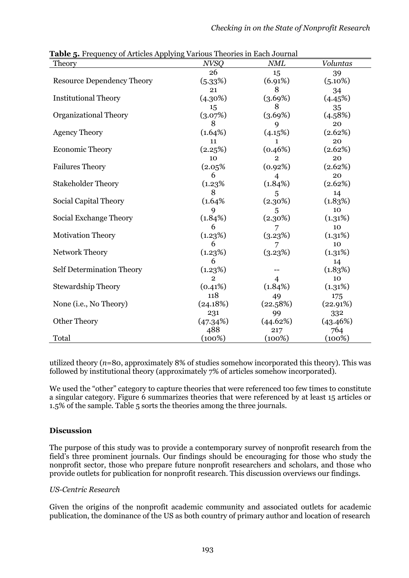| <b>Table 5.</b> Prequency of Articles Applying various Theories in Each Journal<br>Theory | <b>NVSQ</b>  | <b>NML</b>     | Voluntas   |
|-------------------------------------------------------------------------------------------|--------------|----------------|------------|
|                                                                                           | 26           | 15             | 39         |
| <b>Resource Dependency Theory</b>                                                         | (5.33%)      | (6.91%)        | $(5.10\%)$ |
|                                                                                           | 21           | 8              | 34         |
| <b>Institutional Theory</b>                                                               | (4.30%)      | (3.69%)        | (4.45%)    |
|                                                                                           | 15           | 8              | 35         |
| <b>Organizational Theory</b>                                                              | (3.07%)      | (3.69%)        | (4.58%)    |
|                                                                                           | 8            | 9              | 20         |
| <b>Agency Theory</b>                                                                      | (1.64%)      | (4.15%)        | (2.62%)    |
|                                                                                           | 11           | $\mathbf{1}$   | 20         |
| <b>Economic Theory</b>                                                                    | (2.25%)      | (0.46%)        | (2.62%)    |
|                                                                                           | 10           | $\overline{2}$ | 20         |
| <b>Failures Theory</b>                                                                    | (2.05%       | (0.92%)        | (2.62%)    |
|                                                                                           | 6            | 4              | 20         |
| <b>Stakeholder Theory</b>                                                                 | (1.23%       | (1.84%)        | (2.62%)    |
|                                                                                           | 8            | 5              | 14         |
| Social Capital Theory                                                                     | (1.64%       | $(2.30\%)$     | (1.83%)    |
|                                                                                           | 9            | 5              | 10         |
| Social Exchange Theory                                                                    | (1.84%)      | (2.30%)        | (1.31%)    |
|                                                                                           | 6            | 7              | 10         |
| <b>Motivation Theory</b>                                                                  | (1.23%)      | (3.23%)        | (1.31%)    |
|                                                                                           | 6            | 7              | 10         |
| Network Theory                                                                            | (1.23%)      | (3.23%)        | (1.31%)    |
|                                                                                           | 6            |                | 14         |
| Self Determination Theory                                                                 | (1.23%)      |                | (1.83%)    |
|                                                                                           | $\mathbf{2}$ | 4              | 10         |
| <b>Stewardship Theory</b>                                                                 | (0.41%)      | (1.84%)        | (1.31%)    |
|                                                                                           | 118          | 49             | 175        |
| None ( <i>i.e.</i> , No Theory)                                                           | (24.18%)     | (22.58%)       | (22.91%)   |
|                                                                                           | 231          | 99             | 332        |
| <b>Other Theory</b>                                                                       | (47.34%)     | (44.62%)       | (43.46%)   |
|                                                                                           | 488          | 217            | 764        |
| Total                                                                                     | (100%)       | (100%)         | (100%)     |

**Table 5.** Frequency of Articles Applying Various Theories in Each Journal

utilized theory (*n*=80, approximately 8% of studies somehow incorporated this theory). This was followed by institutional theory (approximately 7% of articles somehow incorporated).

We used the "other" category to capture theories that were referenced too few times to constitute a singular category. Figure 6 summarizes theories that were referenced by at least 15 articles or 1.5% of the sample. Table 5 sorts the theories among the three journals.

#### **Discussion**

The purpose of this study was to provide a contemporary survey of nonprofit research from the field's three prominent journals. Our findings should be encouraging for those who study the nonprofit sector, those who prepare future nonprofit researchers and scholars, and those who provide outlets for publication for nonprofit research. This discussion overviews our findings.

#### *US-Centric Research*

Given the origins of the nonprofit academic community and associated outlets for academic publication, the dominance of the US as both country of primary author and location of research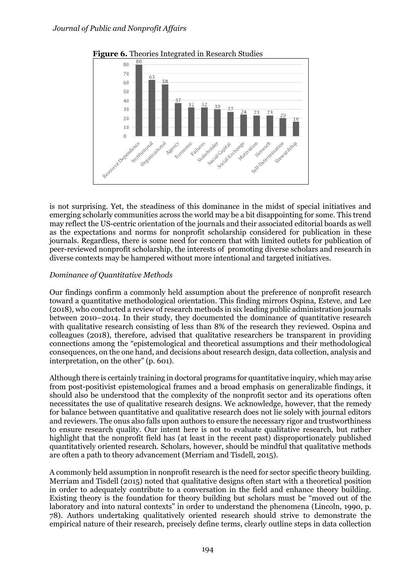

**Figure 6.** Theories Integrated in Research Studies

is not surprising. Yet, the steadiness of this dominance in the midst of special initiatives and emerging scholarly communities across the world may be a bit disappointing for some. This trend may reflect the US-centric orientation of the journals and their associated editorial boards as well as the expectations and norms for nonprofit scholarship considered for publication in these journals. Regardless, there is some need for concern that with limited outlets for publication of peer-reviewed nonprofit scholarship, the interests of promoting diverse scholars and research in diverse contexts may be hampered without more intentional and targeted initiatives.

#### *Dominance of Quantitative Methods*

Our findings confirm a commonly held assumption about the preference of nonprofit research toward a quantitative methodological orientation. This finding mirrors Ospina, Esteve, and Lee (2018), who conducted a review of research methods in six leading public administration journals between 2010–2014. In their study, they documented the dominance of quantitative research with qualitative research consisting of less than 8% of the research they reviewed. Ospina and colleagues (2018), therefore, advised that qualitative researchers be transparent in providing connections among the "epistemological and theoretical assumptions and their methodological consequences, on the one hand, and decisions about research design, data collection, analysis and interpretation, on the other" (p. 601).

Although there is certainly training in doctoral programs for quantitative inquiry, which may arise from post-positivist epistemological frames and a broad emphasis on generalizable findings, it should also be understood that the complexity of the nonprofit sector and its operations often necessitates the use of qualitative research designs. We acknowledge, however, that the remedy for balance between quantitative and qualitative research does not lie solely with journal editors and reviewers. The onus also falls upon authors to ensure the necessary rigor and trustworthiness to ensure research quality. Our intent here is not to evaluate qualitative research, but rather highlight that the nonprofit field has (at least in the recent past) disproportionately published quantitatively oriented research. Scholars, however, should be mindful that qualitative methods are often a path to theory advancement (Merriam and Tisdell, 2015).

A commonly held assumption in nonprofit research is the need for sector specific theory building. Merriam and Tisdell (2015) noted that qualitative designs often start with a theoretical position in order to adequately contribute to a conversation in the field and enhance theory building. Existing theory is the foundation for theory building but scholars must be "moved out of the laboratory and into natural contexts" in order to understand the phenomena (Lincoln, 1990, p. 78). Authors undertaking qualitatively oriented research should strive to demonstrate the empirical nature of their research, precisely define terms, clearly outline steps in data collection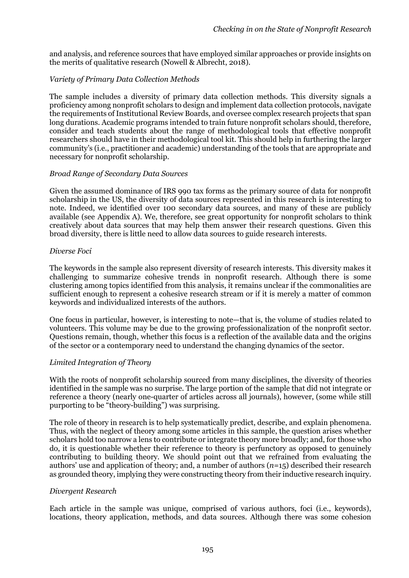and analysis, and reference sources that have employed similar approaches or provide insights on the merits of qualitative research (Nowell & Albrecht, 2018).

#### *Variety of Primary Data Collection Methods*

The sample includes a diversity of primary data collection methods. This diversity signals a proficiency among nonprofit scholars to design and implement data collection protocols, navigate the requirements of Institutional Review Boards, and oversee complex research projects that span long durations. Academic programs intended to train future nonprofit scholars should, therefore, consider and teach students about the range of methodological tools that effective nonprofit researchers should have in their methodological tool kit. This should help in furthering the larger community's (i.e., practitioner and academic) understanding of the tools that are appropriate and necessary for nonprofit scholarship.

#### *Broad Range of Secondary Data Sources*

Given the assumed dominance of IRS 990 tax forms as the primary source of data for nonprofit scholarship in the US, the diversity of data sources represented in this research is interesting to note. Indeed, we identified over 100 secondary data sources, and many of these are publicly available (see Appendix A). We, therefore, see great opportunity for nonprofit scholars to think creatively about data sources that may help them answer their research questions. Given this broad diversity, there is little need to allow data sources to guide research interests.

#### *Diverse Foci*

The keywords in the sample also represent diversity of research interests. This diversity makes it challenging to summarize cohesive trends in nonprofit research. Although there is some clustering among topics identified from this analysis, it remains unclear if the commonalities are sufficient enough to represent a cohesive research stream or if it is merely a matter of common keywords and individualized interests of the authors.

One focus in particular, however, is interesting to note—that is, the volume of studies related to volunteers. This volume may be due to the growing professionalization of the nonprofit sector. Questions remain, though, whether this focus is a reflection of the available data and the origins of the sector or a contemporary need to understand the changing dynamics of the sector.

#### *Limited Integration of Theory*

With the roots of nonprofit scholarship sourced from many disciplines, the diversity of theories identified in the sample was no surprise. The large portion of the sample that did not integrate or reference a theory (nearly one-quarter of articles across all journals), however, (some while still purporting to be "theory-building") was surprising.

The role of theory in research is to help systematically predict, describe, and explain phenomena. Thus, with the neglect of theory among some articles in this sample, the question arises whether scholars hold too narrow a lens to contribute or integrate theory more broadly; and, for those who do, it is questionable whether their reference to theory is perfunctory as opposed to genuinely contributing to building theory. We should point out that we refrained from evaluating the authors' use and application of theory; and, a number of authors (*n*=15) described their research as grounded theory, implying they were constructing theory from their inductive research inquiry.

#### *Divergent Research*

Each article in the sample was unique, comprised of various authors, foci (i.e., keywords), locations, theory application, methods, and data sources. Although there was some cohesion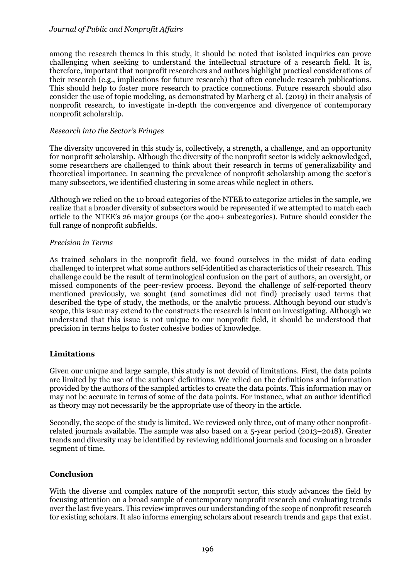among the research themes in this study, it should be noted that isolated inquiries can prove challenging when seeking to understand the intellectual structure of a research field. It is, therefore, important that nonprofit researchers and authors highlight practical considerations of their research (e.g., implications for future research) that often conclude research publications. This should help to foster more research to practice connections. Future research should also consider the use of topic modeling, as demonstrated by Marberg et al. (2019) in their analysis of nonprofit research, to investigate in-depth the convergence and divergence of contemporary nonprofit scholarship.

#### *Research into the Sector's Fringes*

The diversity uncovered in this study is, collectively, a strength, a challenge, and an opportunity for nonprofit scholarship. Although the diversity of the nonprofit sector is widely acknowledged, some researchers are challenged to think about their research in terms of generalizability and theoretical importance. In scanning the prevalence of nonprofit scholarship among the sector's many subsectors, we identified clustering in some areas while neglect in others.

Although we relied on the 10 broad categories of the NTEE to categorize articles in the sample, we realize that a broader diversity of subsectors would be represented if we attempted to match each article to the NTEE's 26 major groups (or the 400+ subcategories). Future should consider the full range of nonprofit subfields.

#### *Precision in Terms*

As trained scholars in the nonprofit field, we found ourselves in the midst of data coding challenged to interpret what some authors self-identified as characteristics of their research. This challenge could be the result of terminological confusion on the part of authors, an oversight, or missed components of the peer-review process. Beyond the challenge of self-reported theory mentioned previously, we sought (and sometimes did not find) precisely used terms that described the type of study, the methods, or the analytic process. Although beyond our study's scope, this issue may extend to the constructs the research is intent on investigating. Although we understand that this issue is not unique to our nonprofit field, it should be understood that precision in terms helps to foster cohesive bodies of knowledge.

#### **Limitations**

Given our unique and large sample, this study is not devoid of limitations. First, the data points are limited by the use of the authors' definitions. We relied on the definitions and information provided by the authors of the sampled articles to create the data points. This information may or may not be accurate in terms of some of the data points. For instance, what an author identified as theory may not necessarily be the appropriate use of theory in the article.

Secondly, the scope of the study is limited. We reviewed only three, out of many other nonprofitrelated journals available. The sample was also based on a 5-year period (2013–2018). Greater trends and diversity may be identified by reviewing additional journals and focusing on a broader segment of time.

#### **Conclusion**

With the diverse and complex nature of the nonprofit sector, this study advances the field by focusing attention on a broad sample of contemporary nonprofit research and evaluating trends over the last five years. This review improves our understanding of the scope of nonprofit research for existing scholars. It also informs emerging scholars about research trends and gaps that exist.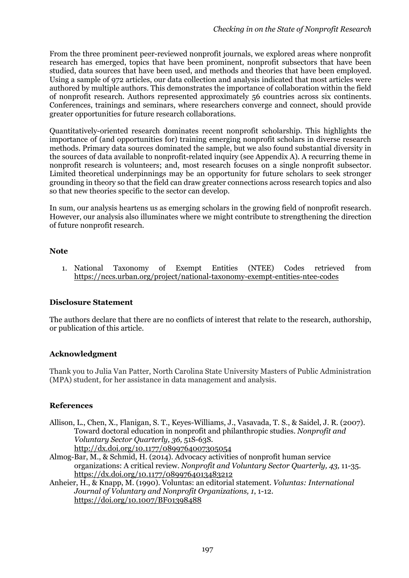From the three prominent peer-reviewed nonprofit journals, we explored areas where nonprofit research has emerged, topics that have been prominent, nonprofit subsectors that have been studied, data sources that have been used, and methods and theories that have been employed. Using a sample of 972 articles, our data collection and analysis indicated that most articles were authored by multiple authors. This demonstrates the importance of collaboration within the field of nonprofit research. Authors represented approximately 56 countries across six continents. Conferences, trainings and seminars, where researchers converge and connect, should provide greater opportunities for future research collaborations.

Quantitatively-oriented research dominates recent nonprofit scholarship. This highlights the importance of (and opportunities for) training emerging nonprofit scholars in diverse research methods. Primary data sources dominated the sample, but we also found substantial diversity in the sources of data available to nonprofit-related inquiry (see Appendix A). A recurring theme in nonprofit research is volunteers; and, most research focuses on a single nonprofit subsector. Limited theoretical underpinnings may be an opportunity for future scholars to seek stronger grounding in theory so that the field can draw greater connections across research topics and also so that new theories specific to the sector can develop.

In sum, our analysis heartens us as emerging scholars in the growing field of nonprofit research. However, our analysis also illuminates where we might contribute to strengthening the direction of future nonprofit research.

#### **Note**

1. National Taxonomy of Exempt Entities (NTEE) Codes retrieved from https://nccs.urban.org/project/national-taxonomy-exempt-entities-ntee-codes

#### **Disclosure Statement**

The authors declare that there are no conflicts of interest that relate to the research, authorship, or publication of this article.

#### **Acknowledgment**

Thank you to Julia Van Patter, North Carolina State University Masters of Public Administration (MPA) student, for her assistance in data management and analysis.

#### **References**

- Allison, L., Chen, X., Flanigan, S. T., Keyes-Williams, J., Vasavada, T. S., & Saidel, J. R. (2007). Toward doctoral education in nonprofit and philanthropic studies. *Nonprofit and Voluntary Sector Quarterly, 36,* 51S-63S. http://dx.doi.org/10.1177/0899764007305054
- Almog-Bar, M., & Schmid, H. (2014). Advocacy activities of nonprofit human service organizations: A critical review. *Nonprofit and Voluntary Sector Quarterly, 43,* 11-35. https://dx.doi.org/10.1177/0899764013483212
- Anheier, H., & Knapp, M. (1990). Voluntas: an editorial statement. *Voluntas: International Journal of Voluntary and Nonprofit Organizations, 1*, 1-12. https://doi.org/10.1007/BF01398488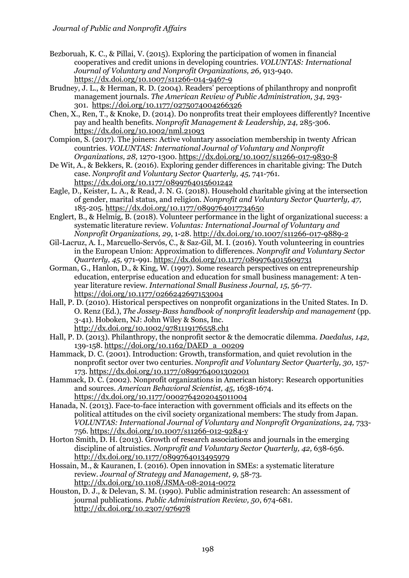- Bezboruah, K. C., & Pillai, V. (2015). Exploring the participation of women in financial cooperatives and credit unions in developing countries. *VOLUNTAS: International Journal of Voluntary and Nonprofit Organizations, 26,* 913-940. https://dx.doi.org/10.1007/s11266-014-9467-9
- Brudney, J. L., & Herman, R. D. (2004). Readers' perceptions of philanthropy and nonprofit management journals. *The American Review of Public Administration, 34*, 293- 301. https://doi.org/10.1177/0275074004266326
- Chen, X., Ren, T., & Knoke, D. (2014). Do nonprofits treat their employees differently? Incentive pay and health benefits. *Nonprofit Management & Leadership, 24,* 285-306. https://dx.doi.org/10.1002/nml.21093
- Compion, S. (2017). The joiners: Active voluntary association membership in twenty African countries. *VOLUNTAS: International Journal of Voluntary and Nonprofit Organizations, 28,* 1270-1300. https://dx.doi.org/10.1007/s11266-017-9830-8
- De Wit, A., & Bekkers, R. (2016). Exploring gender differences in charitable giving: The Dutch case. *Nonprofit and Voluntary Sector Quarterly, 45,* 741-761. https://dx.doi.org/10.1177/0899764015601242
- Eagle, D., Keister, L. A., & Read, J. N. G. (2018). Household charitable giving at the intersection of gender, marital status, and religion. *Nonprofit and Voluntary Sector Quarterly, 47,* 185-205. https://dx.doi.org/10.1177/0899764017734650
- Englert, B., & Helmig, B. (2018). Volunteer performance in the light of organizational success: a systematic literature review. *Voluntas: International Journal of Voluntary and Nonprofit Organizations, 29*, 1-28. http://dx.doi.org/10.1007/s11266-017-9889-2
- Gil-Lacruz, A. I., Marcuello-Servós, C., & Saz-Gil, M. I. (2016). Youth volunteering in countries in the European Union: Approximation to differences. *Nonprofit and Voluntary Sector Quarterly, 45,* 971-991. https://dx.doi.org/10.1177/0899764015609731
- Gorman, G., Hanlon, D., & King, W. (1997). Some research perspectives on entrepreneurship education, enterprise education and education for small business management: A tenyear literature review. *International Small Business Journal, 15*, 56-77. https://doi.org/10.1177/0266242697153004
- Hall, P. D. (2010). Historical perspectives on nonprofit organizations in the United States. In D. O. Renz (Ed.), *The Jossey-Bass handbook of nonprofit leadership and management* (pp. 3-41). Hoboken, NJ: John Wiley & Sons, Inc. http://dx.doi.org/10.1002/9781119176558.ch1
- Hall, P. D. (2013). Philanthropy, the nonprofit sector & the democratic dilemma. *Daedalus, 142*, 139-158. https://doi.org/10.1162/DAED\_a\_00209
- Hammack, D. C. (2001). Introduction: Growth, transformation, and quiet revolution in the nonprofit sector over two centuries. *Nonprofit and Voluntary Sector Quarterly, 30,* 157- 173. https://dx.doi.org/10.1177/0899764001302001
- Hammack, D. C. (2002). Nonprofit organizations in American history: Research opportunities and sources. *American Behavioral Scientist, 45,* 1638-1674. https://dx.doi.org/10.1177/0002764202045011004
- Hanada, N. (2013). Face-to-face interaction with government officials and its effects on the political attitudes on the civil society organizational members: The study from Japan. *VOLUNTAS: International Journal of Voluntary and Nonprofit Organizations, 24,* 733- 756. https://dx.doi.org/10.1007/s11266-012-9284-y
- Horton Smith, D. H. (2013). Growth of research associations and journals in the emerging discipline of altruistics. *Nonprofit and Voluntary Sector Quarterly, 42,* 638-656. http://dx.doi.org/10.1177/0899764013495979
- Hossain, M., & Kauranen, I. (2016). Open innovation in SMEs: a systematic literature review. *Journal of Strategy and Management, 9,* 58-73. http://dx.doi.org/10.1108/JSMA-08-2014-0072
- Houston, D. J., & Delevan, S. M. (1990). Public administration research: An assessment of journal publications. *Public Administration Review, 50*, 674-681. http://dx.doi.org/10.2307/976978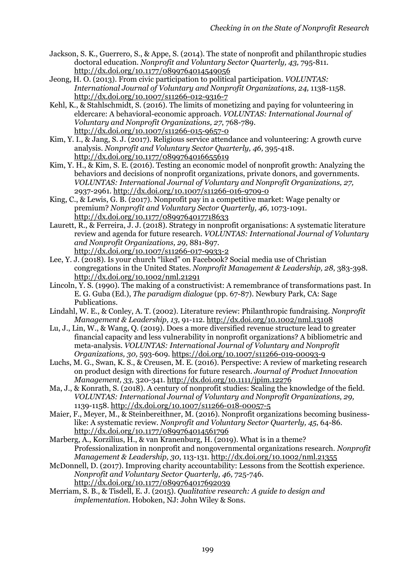- Jackson, S. K., Guerrero, S., & Appe, S. (2014). The state of nonprofit and philanthropic studies doctoral education. *Nonprofit and Voluntary Sector Quarterly, 43,* 795-811. http://dx.doi.org/10.1177/0899764014549056
- Jeong, H. O. (2013). From civic participation to political participation. *VOLUNTAS: International Journal of Voluntary and Nonprofit Organizations, 24,* 1138-1158. http://dx.doi.org/10.1007/s11266-012-9316-7
- Kehl, K., & Stahlschmidt, S. (2016). The limits of monetizing and paying for volunteering in eldercare: A behavioral-economic approach. *VOLUNTAS: International Journal of Voluntary and Nonprofit Organizations, 27*, 768-789. http://dx.doi.org/10.1007/s11266-015-9657-0
- Kim, Y. I., & Jang, S. J. (2017). Religious service attendance and volunteering: A growth curve analysis. *Nonprofit and Voluntary Sector Quarterly, 46,* 395-418. http://dx.doi.org/10.1177/0899764016655619
- Kim, Y. H., & Kim, S. E. (2016). Testing an economic model of nonprofit growth: Analyzing the behaviors and decisions of nonprofit organizations, private donors, and governments. *VOLUNTAS: International Journal of Voluntary and Nonprofit Organizations, 27,* 2937-2961. http://dx.doi.org/10.1007/s11266-016-9709-0
- King, C., & Lewis, G. B. (2017). Nonprofit pay in a competitive market: Wage penalty or premium? *Nonprofit and Voluntary Sector Quarterly, 46,* 1073-1091. http://dx.doi.org/10.1177/0899764017718633
- Laurett, R., & Ferreira, J. J. (2018). Strategy in nonprofit organisations: A systematic literature review and agenda for future research. *VOLUNTAS: International Journal of Voluntary and Nonprofit Organizations, 29,* 881-897. http://dx.doi.org/10.1007/s11266-017-9933-2
- Lee, Y. J. (2018). Is your church "liked" on Facebook? Social media use of Christian congregations in the United States. *Nonprofit Management & Leadership, 28,* 383-398. http://dx.doi.org/10.1002/nml.21291
- Lincoln, Y. S. (1990). The making of a constructivist: A remembrance of transformations past. In E. G. Guba (Ed.), *The paradigm dialogue* (pp. 67-87). Newbury Park, CA: Sage Publications.
- Lindahl, W. E., & Conley, A. T. (2002). Literature review: Philanthropic fundraising. *Nonprofit Management & Leadership, 13*, 91-112. http://dx.doi.org/10.1002/nml.13108
- Lu, J., Lin, W., & Wang, Q. (2019). Does a more diversified revenue structure lead to greater financial capacity and less vulnerability in nonprofit organizations? A bibliometric and meta-analysis. *VOLUNTAS: International Journal of Voluntary and Nonprofit Organizations, 30,* 593-609. https://doi.org/10.1007/s11266-019-00093-9
- Luchs, M. G., Swan, K. S., & Creusen, M. E. (2016). Perspective: A review of marketing research on product design with directions for future research. *Journal of Product Innovation Management, 33,* 320-341. http://dx.doi.org/10.1111/jpim.12276
- Ma, J., & Konrath, S. (2018). A century of nonprofit studies: Scaling the knowledge of the field. *VOLUNTAS: International Journal of Voluntary and Nonprofit Organizations, 29,* 1139-1158. http://dx.doi.org/10.1007/s11266-018-00057-5
- Maier, F., Meyer, M., & Steinbereithner, M. (2016). Nonprofit organizations becoming businesslike: A systematic review. *Nonprofit and Voluntary Sector Quarterly, 45*, 64-86. http://dx.doi.org/10.1177/0899764014561796
- Marberg, A., Korzilius, H., & van Kranenburg, H. (2019). What is in a theme? Professionalization in nonprofit and nongovernmental organizations research. *Nonprofit Management & Leadership, 30,* 113-131. http://dx.doi.org/10.1002/nml.21355
- McDonnell, D. (2017). Improving charity accountability: Lessons from the Scottish experience. *Nonprofit and Voluntary Sector Quarterly, 46,* 725-746. http://dx.doi.org/10.1177/0899764017692039
- Merriam, S. B., & Tisdell, E. J. (2015). *Qualitative research: A guide to design and implementation*. Hoboken, NJ: John Wiley & Sons.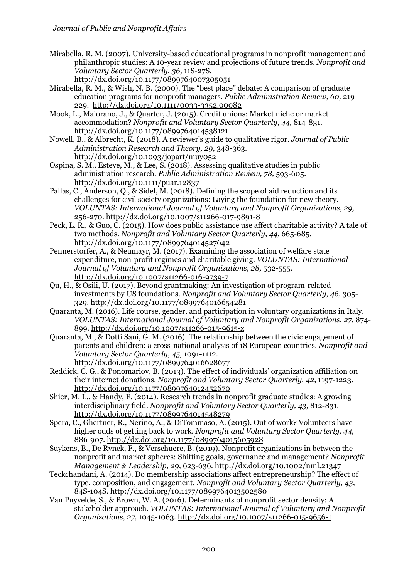Mirabella, R. M. (2007). University-based educational programs in nonprofit management and philanthropic studies: A 10-year review and projections of future trends. *Nonprofit and Voluntary Sector Quarterly, 36,* 11S-27S.

http://dx.doi.org/10.1177/0899764007305051

- Mirabella, R. M., & Wish, N. B. (2000). The "best place" debate: A comparison of graduate education programs for nonprofit managers. *Public Administration Review, 60,* 219- 229. http://dx.doi.org/10.1111/0033-3352.00082
- Mook, L., Maiorano, J., & Quarter, J. (2015). Credit unions: Market niche or market accommodation? *Nonprofit and Voluntary Sector Quarterly, 44,* 814-831. http://dx.doi.org/10.1177/0899764014538121
- Nowell, B., & Albrecht, K. (2018). A reviewer's guide to qualitative rigor. *Journal of Public Administration Research and Theory, 29,* 348-363*.*  http://dx.doi.org/10.1093/jopart/muy052
- Ospina, S. M., Esteve, M., & Lee, S. (2018). Assessing qualitative studies in public administration research. *Public Administration Review, 78,* 593-605. http://dx.doi.org/10.1111/puar.12837
- Pallas, C., Anderson, Q., & Sidel, M. (2018). Defining the scope of aid reduction and its challenges for civil society organizations: Laying the foundation for new theory. *VOLUNTAS: International Journal of Voluntary and Nonprofit Organizations, 29,*  256-270. http://dx.doi.org/10.1007/s11266-017-9891-8
- Peck, L. R., & Guo, C. (2015). How does public assistance use affect charitable activity? A tale of two methods. *Nonprofit and Voluntary Sector Quarterly, 44,* 665-685. http://dx.doi.org/10.1177/0899764014527642
- Pennerstorfer, A., & Neumayr, M. (2017). Examining the association of welfare state expenditure, non-profit regimes and charitable giving. *VOLUNTAS: International Journal of Voluntary and Nonprofit Organizations, 28,* 532-555. http://dx.doi.org/10.1007/s11266-016-9739-7
- Qu, H., & Osili, U. (2017). Beyond grantmaking: An investigation of program-related investments by US foundations. *Nonprofit and Voluntary Sector Quarterly, 46,* 305- 329. http://dx.doi.org/10.1177/0899764016654281
- Quaranta, M. (2016). Life course, gender, and participation in voluntary organizations in Italy. *VOLUNTAS: International Journal of Voluntary and Nonprofit Organizations, 27,* 874- 899. http://dx.doi.org/10.1007/s11266-015-9615-x
- Quaranta, M., & Dotti Sani, G. M. (2016). The relationship between the civic engagement of parents and children: a cross-national analysis of 18 European countries. *Nonprofit and Voluntary Sector Quarterly, 45,* 1091-1112. http://dx.doi.org/10.1177/0899764016628677
- Reddick, C. G., & Ponomariov, B. (2013). The effect of individuals' organization affiliation on their internet donations. *Nonprofit and Voluntary Sector Quarterly, 42,* 1197-1223. http://dx.doi.org/10.1177/0899764012452670
- Shier, M. L., & Handy, F. (2014). Research trends in nonprofit graduate studies: A growing interdisciplinary field. *Nonprofit and Voluntary Sector Quarterly, 43,* 812-831. http://dx.doi.org/10.1177/0899764014548279
- Spera, C., Ghertner, R., Nerino, A., & DiTommaso, A. (2015). Out of work? Volunteers have higher odds of getting back to work. *Nonprofit and Voluntary Sector Quarterly, 44,* 886-907. http://dx.doi.org/10.1177/0899764015605928
- Suykens, B., De Rynck, F., & Verschuere, B. (2019). Nonprofit organizations in between the nonprofit and market spheres: Shifting goals, governance and management? *Nonprofit Management & Leadership, 29,* 623-636. http://dx.doi.org/10.1002/nml.21347
- Teckchandani, A. (2014). Do membership associations affect entrepreneurship? The effect of type, composition, and engagement. *Nonprofit and Voluntary Sector Quarterly, 43,*  84S-104S. http://dx.doi.org/10.1177/0899764013502580
- Van Puyvelde, S., & Brown, W. A. (2016). Determinants of nonprofit sector density: A stakeholder approach. *VOLUNTAS: International Journal of Voluntary and Nonprofit Organizations, 27,* 1045-1063. http://dx.doi.org/10.1007/s11266-015-9656-1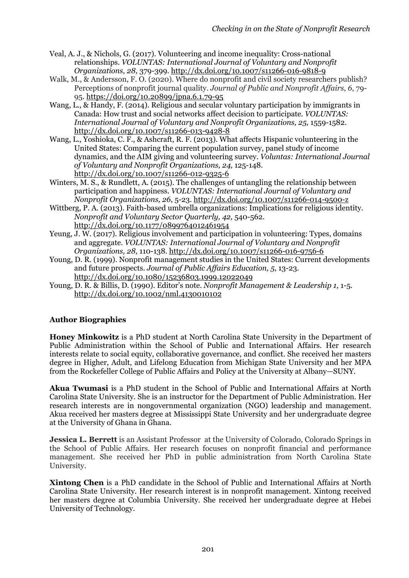- Veal, A. J., & Nichols, G. (2017). Volunteering and income inequality: Cross-national relationships. *VOLUNTAS: International Journal of Voluntary and Nonprofit Organizations, 28,* 379-399. http://dx.doi.org/10.1007/s11266-016-9818-9
- Walk, M., & Andersson, F. O. (2020). Where do nonprofit and civil society researchers publish? Perceptions of nonprofit journal quality. *Journal of Public and Nonprofit Affairs*, *6*, 79- 95. https://doi.org/10.20899/jpna.6.1.79-95
- Wang, L., & Handy, F. (2014). Religious and secular voluntary participation by immigrants in Canada: How trust and social networks affect decision to participate*. VOLUNTAS: International Journal of Voluntary and Nonprofit Organizations, 25,* 1559-1582. http://dx.doi.org/10.1007/s11266-013-9428-8
- Wang, L., Yoshioka, C. F., & Ashcraft, R. F. (2013). What affects Hispanic volunteering in the United States: Comparing the current population survey, panel study of income dynamics, and the AIM giving and volunteering survey. *Voluntas: International Journal of Voluntary and Nonprofit Organizations, 24,* 125-148. http://dx.doi.org/10.1007/s11266-012-9325-6
- Winters, M. S., & Rundlett, A. (2015). The challenges of untangling the relationship between participation and happiness. *VOLUNTAS: International Journal of Voluntary and Nonprofit Organizations, 26*, 5-23. http://dx.doi.org/10.1007/s11266-014-9500-z
- Wittberg, P. A. (2013). Faith-based umbrella organizations: Implications for religious identity. *Nonprofit and Voluntary Sector Quarterly, 42,* 540-562. http://dx.doi.org/10.1177/0899764012461954
- Yeung, J. W. (2017). Religious involvement and participation in volunteering: Types, domains and aggregate. *VOLUNTAS: International Journal of Voluntary and Nonprofit Organizations, 28,* 110-138. http://dx.doi.org/10.1007/s11266-016-9756-6
- Young, D. R. (1999). Nonprofit management studies in the United States: Current developments and future prospects. *Journal of Public Affairs Education, 5*, 13-23. http://dx.doi.org/10.1080/15236803.1999.12022049
- Young, D. R. & Billis, D. (1990). Editor's note. *Nonprofit Management & Leadership 1,* 1-5. http://dx.doi.org/10.1002/nml.4130010102

### **Author Biographies**

**Honey Minkowitz** is a PhD student at North Carolina State University in the Department of Public Administration within the School of Public and International Affairs. Her research interests relate to social equity, collaborative governance, and conflict. She received her masters degree in Higher, Adult, and Lifelong Education from Michigan State University and her MPA from the Rockefeller College of Public Affairs and Policy at the University at Albany—SUNY.

**Akua Twumasi** is a PhD student in the School of Public and International Affairs at North Carolina State University. She is an instructor for the Department of Public Administration. Her research interests are in nongovernmental organization (NGO) leadership and management. Akua received her masters degree at Mississippi State University and her undergraduate degree at the University of Ghana in Ghana.

**Jessica L. Berrett** is an Assistant Professor at the University of Colorado, Colorado Springs in the School of Public Affairs. Her research focuses on nonprofit financial and performance management. She received her PhD in public administration from North Carolina State University.

**Xintong Chen** is a PhD candidate in the School of Public and International Affairs at North Carolina State University. Her research interest is in nonprofit management. Xintong received her masters degree at Columbia University. She received her undergraduate degree at Hebei University of Technology.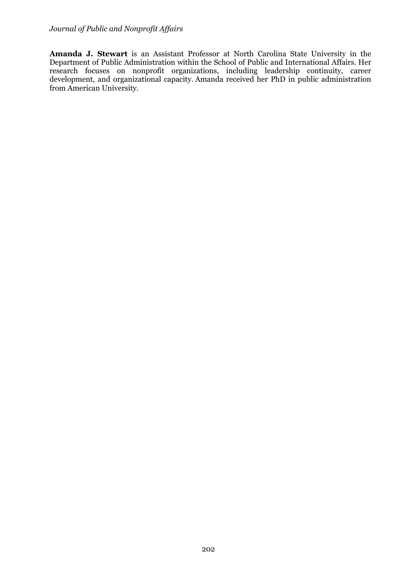**Amanda J. Stewart** is an Assistant Professor at North Carolina State University in the Department of Public Administration within the School of Public and International Affairs. Her research focuses on nonprofit organizations, including leadership continuity, career development, and organizational capacity. Amanda received her PhD in public administration from American University.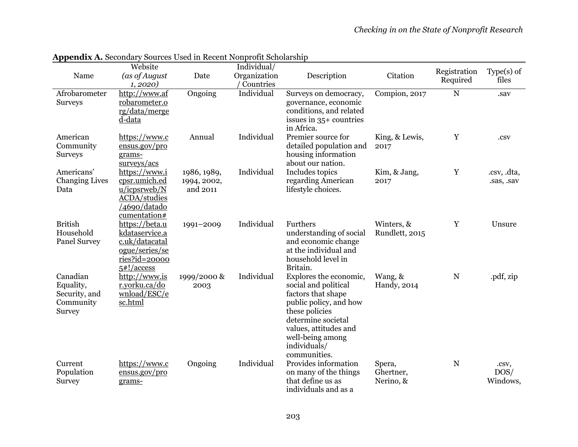|                                                                      | Website                                                                                               |                                        | Individual/               |                                                                                                                                                                                                                     |                                  | Registration |                           |
|----------------------------------------------------------------------|-------------------------------------------------------------------------------------------------------|----------------------------------------|---------------------------|---------------------------------------------------------------------------------------------------------------------------------------------------------------------------------------------------------------------|----------------------------------|--------------|---------------------------|
| Name                                                                 | (as of August<br>1, 2020)                                                                             | Date                                   | Organization<br>Countries | Description                                                                                                                                                                                                         | Citation                         | Required     | $Type(s)$ of<br>files     |
| Afrobarometer<br><b>Surveys</b>                                      | http://www.af<br>robarometer.o<br>rg/data/merge<br>d-data                                             | Ongoing                                | Individual                | Surveys on democracy,<br>governance, economic<br>conditions, and related<br>issues in 35+ countries<br>in Africa.                                                                                                   | Compion, 2017                    | $\mathbf N$  | .sav                      |
| American<br>Community<br><b>Surveys</b>                              | https://www.c<br>ensus.gov/pro<br>grams-<br>surveys/acs                                               | Annual                                 | Individual                | Premier source for<br>detailed population and<br>housing information<br>about our nation.                                                                                                                           | King, & Lewis,<br>2017           | Y            | .csv                      |
| Americans'<br><b>Changing Lives</b><br>Data                          | https://www.i<br>cpsr.umich.ed<br>u/icpsrweb/N<br><b>ACDA/studies</b><br>/4690/datado<br>cumentation# | 1986, 1989,<br>1994, 2002,<br>and 2011 | Individual                | Includes topics<br>regarding American<br>lifestyle choices.                                                                                                                                                         | Kim, & Jang,<br>2017             | $\mathbf Y$  | .csv, .dta,<br>.sas, .sav |
| <b>British</b><br>Household<br><b>Panel Survey</b>                   | https://beta.u<br>kdataservice.a<br>c.uk/datacatal<br>ogue/series/se<br>ries?id=20000<br>5#!/access   | 1991-2009                              | Individual                | Furthers<br>understanding of social<br>and economic change<br>at the individual and<br>household level in<br>Britain.                                                                                               | Winters, &<br>Rundlett, 2015     | Y            | Unsure                    |
| Canadian<br>Equality,<br>Security, and<br>Community<br><b>Survey</b> | http://www.is<br>r.yorku.ca/do<br>wnload/ESC/e<br>sc.html                                             | 1999/2000 &<br>2003                    | Individual                | Explores the economic,<br>social and political<br>factors that shape<br>public policy, and how<br>these policies<br>determine societal<br>values, attitudes and<br>well-being among<br>individuals/<br>communities. | Wang, &<br>Handy, 2014           | N            | .pdf, zip                 |
| Current<br>Population<br><b>Survey</b>                               | https://www.c<br>ensus.gov/pro<br>grams-                                                              | Ongoing                                | Individual                | Provides information<br>on many of the things<br>that define us as<br>individuals and as a                                                                                                                          | Spera,<br>Ghertner,<br>Nerino, & | N            | .csv,<br>DOS/<br>Windows, |

**Appendix A.** Secondary Sources Used in Recent Nonprofit Scholarship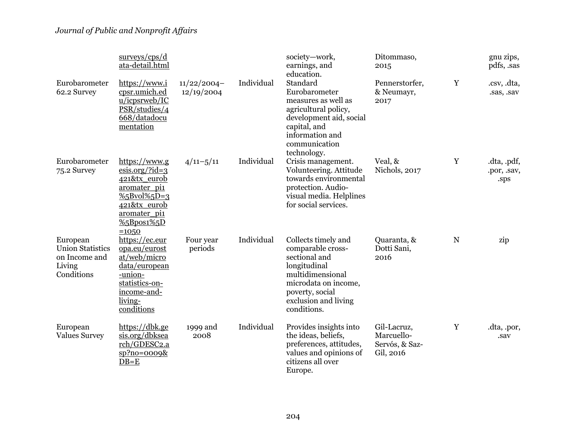|                                                                              | surveys/cps/d<br>ata-detail.html                                                                                                                                   |                             |            | society-work,<br>earnings, and<br>education.                                                                                                                                    | Ditommaso,<br>2015                                       |   | gnu zips,<br>pdfs, sas             |
|------------------------------------------------------------------------------|--------------------------------------------------------------------------------------------------------------------------------------------------------------------|-----------------------------|------------|---------------------------------------------------------------------------------------------------------------------------------------------------------------------------------|----------------------------------------------------------|---|------------------------------------|
| Eurobarometer<br>62.2 Survey                                                 | https://www.i<br>cpsr.umich.ed<br>u/icpsrweb/IC<br>PSR/studies/4<br>668/datadocu<br>mentation                                                                      | $11/22/2004-$<br>12/19/2004 | Individual | Standard<br>Eurobarometer<br>measures as well as<br>agricultural policy,<br>development aid, social<br>capital, and<br>information and<br>communication<br>technology.          | Pennerstorfer,<br>& Neumayr,<br>2017                     | Y | .csv, .dta,<br>.sas, .sav          |
| Eurobarometer<br>75.2 Survey                                                 | https://www.g<br>$\frac{\text{esis.org}}{\text{rid}=3}$<br>421&tx eurob<br>aromater_pi1<br>$%5Bvol\%5D=3$<br>421&tx_eurob<br>aromater pi1<br>%5Bpos1%5D<br>$=1050$ | $4/11 - 5/11$               | Individual | Crisis management.<br>Volunteering. Attitude<br>towards environmental<br>protection. Audio-<br>visual media. Helplines<br>for social services.                                  | Veal, &<br>Nichols, 2017                                 | Y | .dta, .pdf,<br>.por, .sav,<br>.sps |
| European<br><b>Union Statistics</b><br>on Income and<br>Living<br>Conditions | https://ec.eur<br>opa.eu/eurost<br>at/web/micro<br>data/european<br>-union-<br>statistics-on-<br>income-and-<br>living-<br>conditions                              | Four year<br>periods        | Individual | Collects timely and<br>comparable cross-<br>sectional and<br>longitudinal<br>multidimensional<br>microdata on income,<br>poverty, social<br>exclusion and living<br>conditions. | Quaranta, &<br>Dotti Sani,<br>2016                       | N | zip                                |
| European<br><b>Values Survey</b>                                             | https://dbk.ge<br>sis.org/dbksea<br>rch/GDESC2.a<br>$sp?no = 0009$ &<br>$DB = E$                                                                                   | 1999 and<br>2008            | Individual | Provides insights into<br>the ideas, beliefs,<br>preferences, attitudes,<br>values and opinions of<br>citizens all over<br>Europe.                                              | Gil-Lacruz,<br>Marcuello-<br>Servós, & Saz-<br>Gil, 2016 | Y | .dta, .por,<br>.sav                |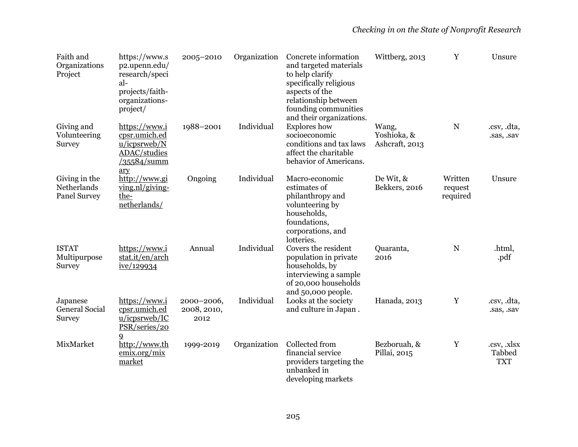| Faith and<br>Organizations<br>Project               | https://www.s<br>p2.upenn.edu/<br>research/speci<br>al-<br>projects/faith-<br>organizations-<br>project/ | 2005-2010                         | Organization | Concrete information<br>and targeted materials<br>to help clarify<br>specifically religious<br>aspects of the<br>relationship between<br>founding communities<br>and their organizations. | Wittberg, 2013                         | Y                              | Unsure                              |
|-----------------------------------------------------|----------------------------------------------------------------------------------------------------------|-----------------------------------|--------------|-------------------------------------------------------------------------------------------------------------------------------------------------------------------------------------------|----------------------------------------|--------------------------------|-------------------------------------|
| Giving and<br>Volunteering<br><b>Survey</b>         | https://www.i<br>cpsr.umich.ed<br>u/icpsrweb/N<br><b>ADAC/studies</b><br>/35584/summ<br>ary              | 1988-2001                         | Individual   | <b>Explores</b> how<br>socioeconomic<br>conditions and tax laws<br>affect the charitable<br>behavior of Americans.                                                                        | Wang,<br>Yoshioka, &<br>Ashcraft, 2013 | N                              | .csv, .dta,<br>.sas, .sav           |
| Giving in the<br>Netherlands<br><b>Panel Survey</b> | http://www.gi<br>$\nu$ ing.nl/giving-<br>the-<br>netherlands/                                            | Ongoing                           | Individual   | Macro-economic<br>estimates of<br>philanthropy and<br>volunteering by<br>households,<br>foundations,<br>corporations, and<br>lotteries.                                                   | De Wit, &<br>Bekkers, 2016             | Written<br>request<br>required | Unsure                              |
| <b>ISTAT</b><br>Multipurpose<br>Survey              | https://www.i<br>stat.it/en/arch<br>ive/129934                                                           | Annual                            | Individual   | Covers the resident<br>population in private<br>households, by<br>interviewing a sample<br>of 20,000 households<br>and 50,000 people.                                                     | Quaranta,<br>2016                      | N                              | .html,<br>.pdf                      |
| Japanese<br><b>General Social</b><br>Survey         | https://www.i<br>cpsr.umich.ed<br>u/icpsrweb/IC<br>PSR/series/20                                         | 2000-2006,<br>2008, 2010,<br>2012 | Individual   | Looks at the society<br>and culture in Japan.                                                                                                                                             | Hanada, 2013                           | Y                              | .csv, .dta,<br>.sas, .sav           |
| MixMarket                                           | 9<br>http://www.th<br>emix.org/mix<br>market                                                             | 1999-2019                         | Organization | Collected from<br>financial service<br>providers targeting the<br>unbanked in<br>developing markets                                                                                       | Bezboruah, &<br>Pillai, 2015           | $\mathbf Y$                    | .csv, .xlsx<br>Tabbed<br><b>TXT</b> |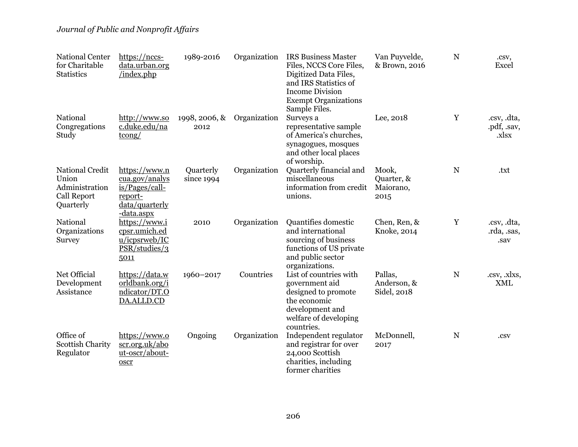| <b>National Center</b><br>for Charitable<br><b>Statistics</b>                        | https://nccs-<br>data.urban.org<br>/index.php                                                         | 1989-2016               | Organization | <b>IRS Business Master</b><br>Files, NCCS Core Files,<br>Digitized Data Files,<br>and IRS Statistics of<br><b>Income Division</b><br><b>Exempt Organizations</b><br>Sample Files. | Van Puyvelde,<br>& Brown, 2016           | ${\bf N}$   | .csv,<br>Excel                      |
|--------------------------------------------------------------------------------------|-------------------------------------------------------------------------------------------------------|-------------------------|--------------|-----------------------------------------------------------------------------------------------------------------------------------------------------------------------------------|------------------------------------------|-------------|-------------------------------------|
| National<br>Congregations<br>Study                                                   | http://www.so<br>c.duke.edu/na<br>$\frac{\text{tcong}}{}$                                             | 1998, 2006, &<br>2012   | Organization | Surveys a<br>representative sample<br>of America's churches,<br>synagogues, mosques<br>and other local places<br>of worship.                                                      | Lee, 2018                                | Y           | .csv, .dta,<br>.pdf, .sav,<br>.xlsx |
| <b>National Credit</b><br>Union<br>Administration<br><b>Call Report</b><br>Quarterly | https://www.n<br>cua.gov/analys<br>$is/Pages/call-$<br>report-<br>data/quarterly<br><u>-data.aspx</u> | Quarterly<br>since 1994 | Organization | Quarterly financial and<br>miscellaneous<br>information from credit<br>unions.                                                                                                    | Mook,<br>Quarter, &<br>Maiorano,<br>2015 | $\mathbf N$ | .txt                                |
| National<br>Organizations<br><b>Survey</b>                                           | https://www.i<br>cpsr.umich.ed<br>u/icpsrweb/IC<br>PSR/studies/3<br>5011                              | 2010                    | Organization | Quantifies domestic<br>and international<br>sourcing of business<br>functions of US private<br>and public sector<br>organizations.                                                | Chen, Ren, &<br>Knoke, 2014              | Y           | .csv, .dta,<br>rda, sas,<br>.sav    |
| Net Official<br>Development<br>Assistance                                            | https://data.w<br>orldbank.org/i<br>ndicator/DT.O<br>DA.ALLD.CD                                       | 1960-2017               | Countries    | List of countries with<br>government aid<br>designed to promote<br>the economic<br>development and<br>welfare of developing<br>countries.                                         | Pallas,<br>Anderson, &<br>Sidel, 2018    | $\mathbf N$ | .csv, .xlxs,<br><b>XML</b>          |
| Office of<br><b>Scottish Charity</b><br>Regulator                                    | https://www.o<br>scr.org.uk/abo<br>ut-oscr/about-<br>oscr                                             | Ongoing                 | Organization | Independent regulator<br>and registrar for over<br>24,000 Scottish<br>charities, including<br>former charities                                                                    | McDonnell,<br>2017                       | $\mathbf N$ | .csv                                |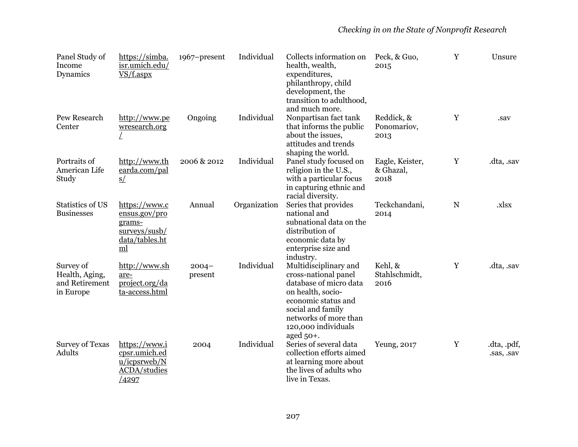| Panel Study of<br>Income<br>Dynamics                       | https://simba.<br>isr.umich.edu/<br>$VS/f.$ aspx                                      | 1967-present        | Individual   | Collects information on<br>health, wealth,<br>expenditures,<br>philanthropy, child<br>development, the<br>transition to adulthood,<br>and much more.                                     | Peck, & Guo,<br>2015                 | Y | Unsure                    |
|------------------------------------------------------------|---------------------------------------------------------------------------------------|---------------------|--------------|------------------------------------------------------------------------------------------------------------------------------------------------------------------------------------------|--------------------------------------|---|---------------------------|
| Pew Research<br>Center                                     | http://www.pe<br>wresearch.org                                                        | Ongoing             | Individual   | Nonpartisan fact tank<br>that informs the public<br>about the issues,<br>attitudes and trends<br>shaping the world.                                                                      | Reddick, &<br>Ponomariov,<br>2013    | Y | .sav                      |
| Portraits of<br>American Life<br>Study                     | http://www.th<br>earda.com/pal<br>S/                                                  | 2006 & 2012         | Individual   | Panel study focused on<br>religion in the U.S.,<br>with a particular focus<br>in capturing ethnic and<br>racial diversity.                                                               | Eagle, Keister,<br>& Ghazal,<br>2018 | Y | .dta, .sav                |
| <b>Statistics of US</b><br><b>Businesses</b>               | https://www.c<br>ensus.gov/pro<br>grams-<br>surveys/susb/<br>data/tables.ht<br>ml     | Annual              | Organization | Series that provides<br>national and<br>subnational data on the<br>distribution of<br>economic data by<br>enterprise size and<br>industry.                                               | Teckchandani,<br>2014                | N | .xlsx                     |
| Survey of<br>Health, Aging,<br>and Retirement<br>in Europe | http://www.sh<br>are-<br>project.org/da<br>ta-access.html                             | $2004 -$<br>present | Individual   | Multidisciplinary and<br>cross-national panel<br>database of micro data<br>on health, socio-<br>economic status and<br>social and family<br>networks of more than<br>120,000 individuals | Kehl, &<br>Stahlschmidt,<br>2016     | Y | .dta, .sav                |
| <b>Survey of Texas</b><br>Adults                           | https://www.i<br>cpsr.umich.ed<br>u/icpsrweb/N<br><b>ACDA/studies</b><br><u>/4297</u> | 2004                | Individual   | aged $50+$ .<br>Series of several data<br>collection efforts aimed<br>at learning more about<br>the lives of adults who<br>live in Texas.                                                | Yeung, 2017                          | Y | .dta, .pdf,<br>.sas, .sav |